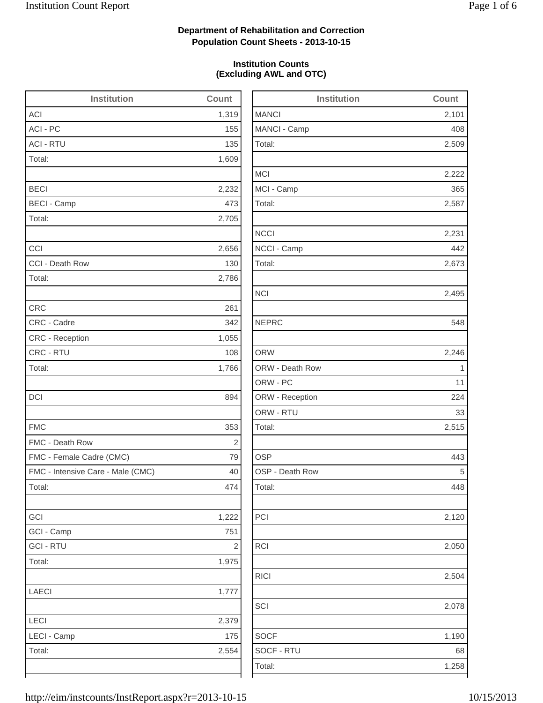2,509

2,222

2,673

2,495

2,515

2,120

2,504

2,078

1,190

# **Department of Rehabilitation and Correction Population Count Sheets - 2013-10-15**

## **Institution Counts (Excluding AWL and OTC)**

| <b>Institution</b>                | Count      | <b>Institution</b> | Count          |
|-----------------------------------|------------|--------------------|----------------|
| <b>ACI</b>                        | 1,319      | <b>MANCI</b>       | 2,101          |
| ACI - PC                          | 155        | MANCI - Camp       | 408            |
| <b>ACI - RTU</b>                  | 135        | Total:             | 2,509          |
| Total:                            | 1,609      |                    |                |
|                                   |            | <b>MCI</b>         | 2,222          |
| <b>BECI</b>                       | 2,232      | MCI - Camp         | 365            |
| <b>BECI - Camp</b>                | 473        | Total:             | 2,587          |
| Total:                            | 2,705      |                    |                |
|                                   |            | <b>NCCI</b>        | 2,231          |
| CCI                               | 2,656      | NCCI - Camp        | 442            |
| CCI - Death Row                   | 130        | Total:             | 2,673          |
| Total:                            | 2,786      |                    |                |
|                                   |            | <b>NCI</b>         | 2,495          |
| <b>CRC</b>                        | 261        |                    |                |
| CRC - Cadre                       | 342        | <b>NEPRC</b>       | 548            |
| CRC - Reception                   | 1,055      |                    |                |
| CRC - RTU                         | 108        | <b>ORW</b>         | 2,246          |
| Total:                            | 1,766      | ORW - Death Row    | $\overline{1}$ |
|                                   |            | ORW - PC           | 11             |
| DCI                               | 894        | ORW - Reception    | 224            |
|                                   |            | ORW - RTU          | 33             |
| <b>FMC</b>                        | 353        | Total:             | 2,515          |
| FMC - Death Row                   | $\sqrt{2}$ |                    |                |
| FMC - Female Cadre (CMC)          | 79         | <b>OSP</b>         | 443            |
| FMC - Intensive Care - Male (CMC) | 40         | OSP - Death Row    | 5              |
| Total:                            | 474        | Total:             | 448            |
| GCI                               | 1,222      | PCI                | 2,120          |
| GCI - Camp                        | 751        |                    |                |
| <b>GCI-RTU</b>                    | 2          | <b>RCI</b>         | 2,050          |
| Total:                            | 1,975      |                    |                |
|                                   |            | <b>RICI</b>        | 2,504          |
| <b>LAECI</b>                      | 1,777      |                    |                |
|                                   |            | SCI                | 2,078          |
| LECI                              | 2,379      |                    |                |
| LECI - Camp                       | 175        | <b>SOCF</b>        | 1,190          |
| Total:                            | 2,554      | SOCF - RTU         | 68             |
|                                   |            | Total:             | 1,258          |
|                                   |            |                    |                |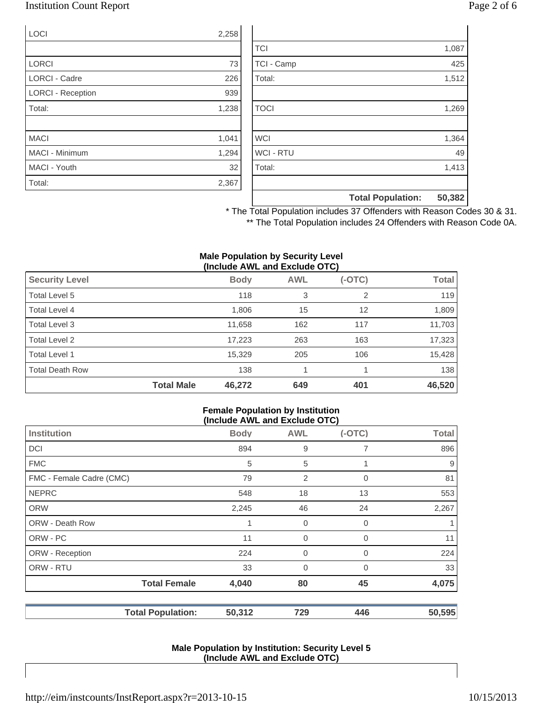# Institution Count Report Page 2 of 6

| LOCI                     | 2,258 |
|--------------------------|-------|
|                          |       |
| <b>LORCI</b>             | 73    |
| <b>LORCI - Cadre</b>     | 226   |
| <b>LORCI - Reception</b> | 939   |
| Total:                   | 1,238 |
|                          |       |
| <b>MACI</b>              | 1,041 |
| MACI - Minimum           | 1,294 |
| MACI - Youth             | 32    |
| Total:                   | 2,367 |

|                  | <b>Total Population:</b> | 50,382 |
|------------------|--------------------------|--------|
|                  |                          |        |
| Total:           |                          | 1,413  |
| <b>WCI - RTU</b> |                          | 49     |
| <b>WCI</b>       |                          | 1,364  |
|                  |                          |        |
| <b>TOCI</b>      |                          | 1,269  |
|                  |                          |        |
| Total:           |                          | 1,512  |
| TCI - Camp       |                          | 425    |
| <b>TCI</b>       |                          | 1,087  |

\* The Total Population includes 37 Offenders with Reason Codes 30 & 31. \*\* The Total Population includes 24 Offenders with Reason Code 0A.

#### **Male Population by Security Level (Include AWL and Exclude OTC)**

| <b>Security Level</b>  |                   | <b>Body</b> | <b>AWL</b> | $(-OTC)$ | <b>Total</b> |
|------------------------|-------------------|-------------|------------|----------|--------------|
| Total Level 5          |                   | 118         | 3          | 2        | 119          |
| Total Level 4          |                   | 1,806       | 15         | 12       | 1,809        |
| Total Level 3          |                   | 11,658      | 162        | 117      | 11,703       |
| Total Level 2          |                   | 17,223      | 263        | 163      | 17,323       |
| Total Level 1          |                   | 15,329      | 205        | 106      | 15,428       |
| <b>Total Death Row</b> |                   | 138         |            |          | 138          |
|                        | <b>Total Male</b> | 46,272      | 649        | 401      | 46,520       |

#### **Female Population by Institution (Include AWL and Exclude OTC)**

|                          | $(1101996 \text{ A})$ |                |             |              |
|--------------------------|-----------------------|----------------|-------------|--------------|
| <b>Institution</b>       | <b>Body</b>           | <b>AWL</b>     | $(-OTC)$    | <b>Total</b> |
| DCI                      | 894                   | 9              |             | 896          |
| <b>FMC</b>               | 5                     | 5              |             | 9            |
| FMC - Female Cadre (CMC) | 79                    | 2              | 0           | 81           |
| <b>NEPRC</b>             | 548                   | 18             | 13          | 553          |
| <b>ORW</b>               | 2,245                 | 46             | 24          | 2,267        |
| <b>ORW - Death Row</b>   |                       | $\overline{0}$ | $\mathbf 0$ |              |
| ORW - PC                 | 11                    | 0              | $\mathbf 0$ | 11           |
| ORW - Reception          | 224                   | $\mathbf 0$    | 0           | 224          |
| ORW - RTU                | 33                    | $\mathbf 0$    | 0           | 33           |
| <b>Total Female</b>      | 4,040                 | 80             | 45          | 4,075        |
| <b>Total Population:</b> | 50,312                | 729            | 446         | 50,595       |

### **Male Population by Institution: Security Level 5 (Include AWL and Exclude OTC)**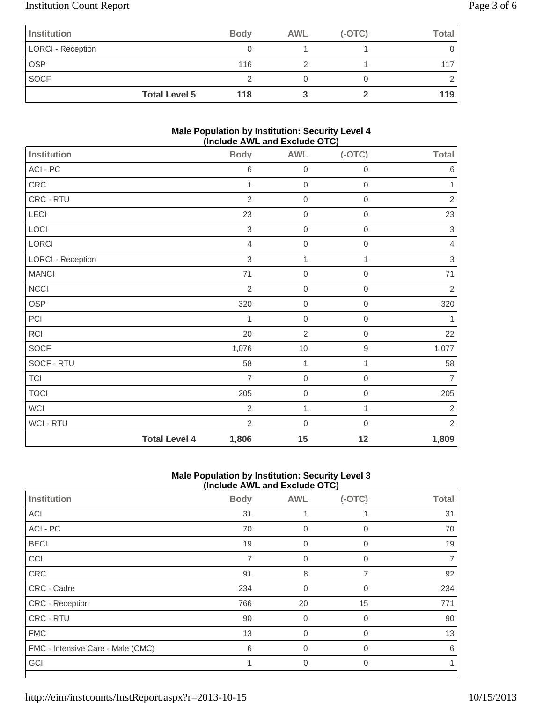# Institution Count Report Page 3 of 6

| Institution              |                      | <b>Body</b> | <b>AWL</b> | $(-OTC)$ | Total |
|--------------------------|----------------------|-------------|------------|----------|-------|
| <b>LORCI - Reception</b> |                      |             |            |          |       |
| <b>OSP</b>               |                      | 116         |            |          |       |
| <b>SOCF</b>              |                      |             |            |          |       |
|                          | <b>Total Level 5</b> | 118         |            |          | 119   |

### **Male Population by Institution: Security Level 4 (Include AWL and Exclude OTC)**

|                          | .                    |                | -- - - - ,       |                  |                           |
|--------------------------|----------------------|----------------|------------------|------------------|---------------------------|
| <b>Institution</b>       |                      | <b>Body</b>    | <b>AWL</b>       | $(-OTC)$         | <b>Total</b>              |
| ACI - PC                 |                      | 6              | $\mathbf 0$      | $\mathbf 0$      | $\,6$                     |
| CRC                      |                      | $\mathbf{1}$   | $\mathbf 0$      | $\,0\,$          | 1                         |
| CRC - RTU                |                      | $\overline{2}$ | $\mathbf 0$      | $\,0\,$          | $\overline{c}$            |
| LECI                     |                      | 23             | $\mathbf 0$      | $\,0\,$          | 23                        |
| LOCI                     |                      | $\sqrt{3}$     | $\mathbf 0$      | $\,0\,$          | 3                         |
| LORCI                    |                      | $\overline{4}$ | $\mathbf 0$      | $\mathbf 0$      | $\overline{4}$            |
| <b>LORCI - Reception</b> |                      | $\sqrt{3}$     | 1                | 1                | $\ensuremath{\mathsf{3}}$ |
| <b>MANCI</b>             |                      | 71             | $\mathbf 0$      | $\boldsymbol{0}$ | $71$                      |
| <b>NCCI</b>              |                      | $\overline{2}$ | $\boldsymbol{0}$ | $\mathbf 0$      | $\sqrt{2}$                |
| OSP                      |                      | 320            | $\boldsymbol{0}$ | $\mathbf 0$      | 320                       |
| PCI                      |                      | 1              | $\boldsymbol{0}$ | $\mathbf 0$      | 1                         |
| <b>RCI</b>               |                      | 20             | $\overline{2}$   | $\mathbf 0$      | 22                        |
| SOCF                     |                      | 1,076          | $10$             | $\boldsymbol{9}$ | 1,077                     |
| SOCF - RTU               |                      | 58             | 1                | 1                | 58                        |
| <b>TCI</b>               |                      | $\overline{7}$ | $\boldsymbol{0}$ | $\boldsymbol{0}$ | $\overline{7}$            |
| <b>TOCI</b>              |                      | 205            | $\boldsymbol{0}$ | $\boldsymbol{0}$ | 205                       |
| <b>WCI</b>               |                      | $\overline{2}$ | $\mathbf{1}$     | 1                | $\sqrt{2}$                |
| WCI - RTU                |                      | $\overline{2}$ | $\boldsymbol{0}$ | 0                | $\overline{2}$            |
|                          | <b>Total Level 4</b> | 1,806          | 15               | 12               | 1,809                     |

## **Male Population by Institution: Security Level 3 (Include AWL and Exclude OTC)**

|                                   |             | $(1101440)$ and the thoration of $\sigma$ |             |              |
|-----------------------------------|-------------|-------------------------------------------|-------------|--------------|
| Institution                       | <b>Body</b> | <b>AWL</b>                                | $(-OTC)$    | <b>Total</b> |
| <b>ACI</b>                        | 31          |                                           |             | 31           |
| ACI - PC                          | 70          | 0                                         | $\mathbf 0$ | 70           |
| <b>BECI</b>                       | 19          | 0                                         | $\mathbf 0$ | 19           |
| CCI                               | 7           | $\mathbf 0$                               | $\mathbf 0$ |              |
| CRC                               | 91          | 8                                         | 7           | 92           |
| CRC - Cadre                       | 234         | $\overline{0}$                            | $\Omega$    | 234          |
| CRC - Reception                   | 766         | 20                                        | 15          | 771          |
| CRC - RTU                         | 90          | $\Omega$                                  | $\Omega$    | 90           |
| <b>FMC</b>                        | 13          | $\Omega$                                  | $\Omega$    | 13           |
| FMC - Intensive Care - Male (CMC) | 6           | $\overline{0}$                            | 0           | 6            |
| GCI                               |             | 0                                         | 0           |              |
|                                   |             |                                           |             |              |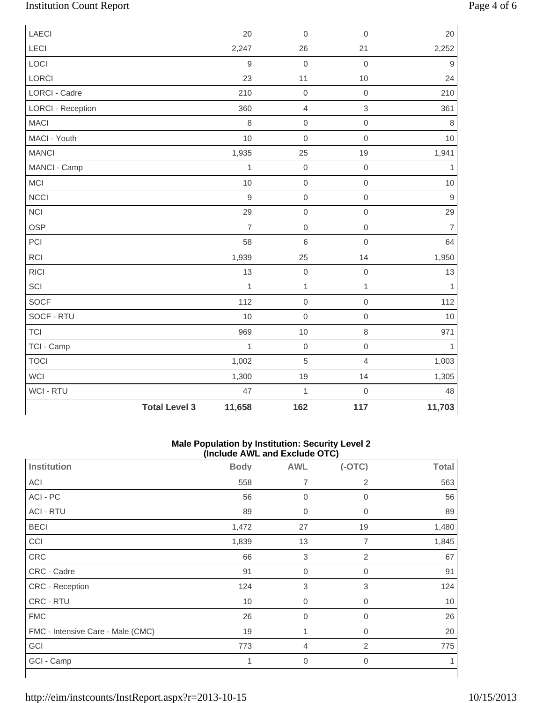# Institution Count Report Page 4 of 6

| <b>LAECI</b>             |                      | 20             | $\mathbf 0$    | $\mathsf{O}\xspace$ | 20             |
|--------------------------|----------------------|----------------|----------------|---------------------|----------------|
| LECI                     |                      | 2,247          | 26             | 21                  | 2,252          |
| LOCI                     |                      | $\hbox{9}$     | $\mathbf 0$    | $\mathsf{O}\xspace$ | $\mathsf 9$    |
| <b>LORCI</b>             |                      | 23             | 11             | 10                  | 24             |
| <b>LORCI - Cadre</b>     |                      | 210            | $\mathbf 0$    | $\mathbf 0$         | 210            |
| <b>LORCI - Reception</b> |                      | 360            | $\overline{4}$ | 3                   | 361            |
| <b>MACI</b>              |                      | 8              | $\mathbf 0$    | $\mathsf{O}\xspace$ | $\,8\,$        |
| MACI - Youth             |                      | 10             | $\mathbf 0$    | $\mathsf{O}\xspace$ | $10$           |
| <b>MANCI</b>             |                      | 1,935          | 25             | 19                  | 1,941          |
| MANCI - Camp             |                      | $\mathbf{1}$   | $\mbox{O}$     | $\mathbf 0$         | $\mathbf{1}$   |
| <b>MCI</b>               |                      | 10             | $\mathbf 0$    | $\mathsf{O}\xspace$ | $10$           |
| <b>NCCI</b>              |                      | $\mathsf g$    | $\mathbf 0$    | $\mathsf{O}\xspace$ | $\overline{9}$ |
| <b>NCI</b>               |                      | 29             | $\mathbf 0$    | $\mathsf{O}\xspace$ | 29             |
| <b>OSP</b>               |                      | $\overline{7}$ | $\mathbf 0$    | $\mathsf{O}\xspace$ | $\overline{7}$ |
| PCI                      |                      | 58             | $\,6\,$        | $\mathsf{O}\xspace$ | 64             |
| RCI                      |                      | 1,939          | 25             | 14                  | 1,950          |
| <b>RICI</b>              |                      | 13             | $\mbox{O}$     | $\mbox{O}$          | 13             |
| SCI                      |                      | $\mathbf{1}$   | $\mathbf{1}$   | $\mathbf{1}$        | $\overline{1}$ |
| <b>SOCF</b>              |                      | 112            | $\mathbf 0$    | $\mathsf{O}\xspace$ | 112            |
| SOCF - RTU               |                      | 10             | $\mathbf 0$    | $\mathsf{O}\xspace$ | $10$           |
| <b>TCI</b>               |                      | 969            | 10             | 8                   | 971            |
| TCI - Camp               |                      | $\mathbf 1$    | $\mathbf 0$    | $\mathsf{O}\xspace$ | $\mathbf{1}$   |
| <b>TOCI</b>              |                      | 1,002          | $\sqrt{5}$     | $\overline{4}$      | 1,003          |
| WCI                      |                      | 1,300          | 19             | 14                  | 1,305          |
| <b>WCI - RTU</b>         |                      | 47             | $\mathbf{1}$   | $\mathbf 0$         | 48             |
|                          | <b>Total Level 3</b> | 11,658         | 162            | 117                 | 11,703         |

### **Male Population by Institution: Security Level 2 (Include AWL and Exclude OTC)**

|                                   | $(110100C)$ and the column $(010)$ |             |              |              |  |
|-----------------------------------|------------------------------------|-------------|--------------|--------------|--|
| <b>Institution</b>                | <b>Body</b>                        | <b>AWL</b>  | $(-OTC)$     | <b>Total</b> |  |
| ACI                               | 558                                | 7           | 2            | 563          |  |
| ACI - PC                          | 56                                 | $\mathbf 0$ | 0            | 56           |  |
| <b>ACI - RTU</b>                  | 89                                 | $\mathbf 0$ | 0            | 89           |  |
| <b>BECI</b>                       | 1,472                              | 27          | 19           | 1,480        |  |
| CCI                               | 1,839                              | 13          | 7            | 1,845        |  |
| CRC                               | 66                                 | 3           | 2            | 67           |  |
| CRC - Cadre                       | 91                                 | $\mathbf 0$ | $\mathbf{0}$ | 91           |  |
| CRC - Reception                   | 124                                | 3           | 3            | 124          |  |
| CRC - RTU                         | 10                                 | $\mathbf 0$ | $\mathbf{0}$ | 10           |  |
| <b>FMC</b>                        | 26                                 | $\mathbf 0$ | $\mathbf{0}$ | 26           |  |
| FMC - Intensive Care - Male (CMC) | 19                                 | 1           | 0            | 20           |  |
| GCI                               | 773                                | 4           | 2            | 775          |  |
| GCI - Camp                        | 1                                  | $\mathbf 0$ | 0            | 1            |  |
|                                   |                                    |             |              |              |  |

⅂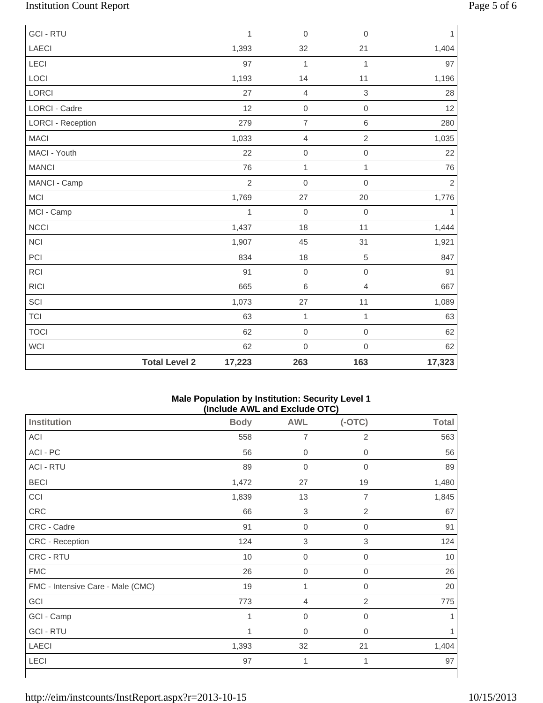# Institution Count Report Page 5 of 6

| <b>GCI-RTU</b>           |                      | $\mathbf{1}$   | $\mathbf 0$         | $\mathbf 0$    | 1          |
|--------------------------|----------------------|----------------|---------------------|----------------|------------|
| <b>LAECI</b>             |                      | 1,393          | 32                  | 21             | 1,404      |
| LECI                     |                      | 97             | $\mathbf{1}$        | $\mathbf{1}$   | 97         |
| LOCI                     |                      | 1,193          | 14                  | 11             | 1,196      |
| LORCI                    |                      | 27             | $\overline{4}$      | $\,$ 3 $\,$    | 28         |
| <b>LORCI - Cadre</b>     |                      | 12             | $\mathbf 0$         | $\mathbf 0$    | 12         |
| <b>LORCI - Reception</b> |                      | 279            | $\overline{7}$      | $\,6\,$        | 280        |
| <b>MACI</b>              |                      | 1,033          | $\overline{4}$      | $\overline{2}$ | 1,035      |
| MACI - Youth             |                      | 22             | $\mbox{O}$          | $\mathbf 0$    | 22         |
| <b>MANCI</b>             |                      | 76             | $\mathbf{1}$        | $\mathbf{1}$   | 76         |
| MANCI - Camp             |                      | $\overline{2}$ | $\mathbf 0$         | $\mathbf 0$    | $\sqrt{2}$ |
| <b>MCI</b>               |                      | 1,769          | 27                  | 20             | 1,776      |
| MCI - Camp               |                      | 1              | $\mathbf 0$         | $\mathbf 0$    | 1          |
| <b>NCCI</b>              |                      | 1,437          | 18                  | 11             | 1,444      |
| <b>NCI</b>               |                      | 1,907          | 45                  | 31             | 1,921      |
| PCI                      |                      | 834            | 18                  | $\,$ 5 $\,$    | 847        |
| RCI                      |                      | 91             | $\mbox{O}$          | $\mathbf 0$    | 91         |
| <b>RICI</b>              |                      | 665            | $\,6$               | $\overline{4}$ | 667        |
| SCI                      |                      | 1,073          | 27                  | 11             | 1,089      |
| <b>TCI</b>               |                      | 63             | $\mathbf{1}$        | $\mathbf{1}$   | 63         |
| <b>TOCI</b>              |                      | 62             | $\mathsf{O}\xspace$ | $\mathbf 0$    | 62         |
| <b>WCI</b>               |                      | 62             | $\mathbf 0$         | $\mathbf 0$    | 62         |
|                          | <b>Total Level 2</b> | 17,223         | 263                 | 163            | 17,323     |

### **Male Population by Institution: Security Level 1 (Include AWL and Exclude OTC)**

| <b>Institution</b>                | <b>Body</b>  | <b>AWL</b>       | $(-OTC)$            | <b>Total</b> |
|-----------------------------------|--------------|------------------|---------------------|--------------|
| ACI                               | 558          | $\overline{7}$   | $\overline{2}$      | 563          |
| ACI - PC                          | 56           | $\boldsymbol{0}$ | $\mathsf{O}\xspace$ | 56           |
| <b>ACI - RTU</b>                  | 89           | $\mathbf 0$      | 0                   | 89           |
| <b>BECI</b>                       | 1,472        | 27               | 19                  | 1,480        |
| CCI                               | 1,839        | 13               | 7                   | 1,845        |
| CRC                               | 66           | $\mathsf 3$      | $\overline{2}$      | 67           |
| CRC - Cadre                       | 91           | $\boldsymbol{0}$ | $\boldsymbol{0}$    | 91           |
| CRC - Reception                   | 124          | $\mathsf 3$      | $\mathsf 3$         | 124          |
| CRC - RTU                         | 10           | $\boldsymbol{0}$ | $\overline{0}$      | 10           |
| <b>FMC</b>                        | 26           | $\mathbf 0$      | 0                   | 26           |
| FMC - Intensive Care - Male (CMC) | 19           | 1                | $\overline{0}$      | 20           |
| GCI                               | 773          | 4                | 2                   | 775          |
| GCI - Camp                        | $\mathbf{1}$ | $\boldsymbol{0}$ | $\mathbf 0$         |              |
| <b>GCI - RTU</b>                  | 1            | $\boldsymbol{0}$ | 0                   |              |
| <b>LAECI</b>                      | 1,393        | 32               | 21                  | 1,404        |
| LECI                              | 97           | 1                | 1                   | 97           |
|                                   |              |                  |                     |              |